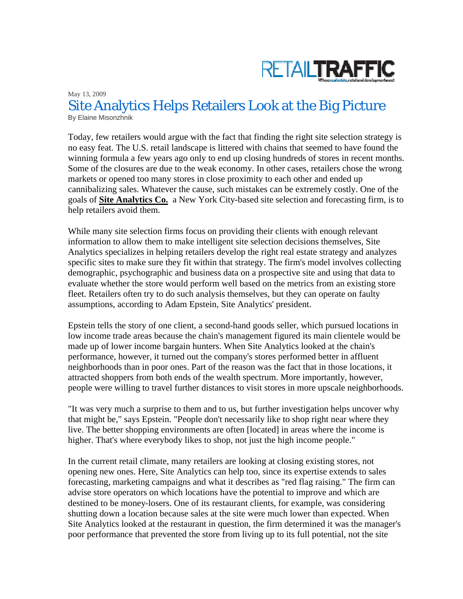

May 13, 2009 Site Analytics Helps Retailers Look at the Big Picture By Elaine Misonzhnik

Today, few retailers would argue with the fact that finding the right site selection strategy is no easy feat. The U.S. retail landscape is littered with chains that seemed to have found the winning formula a few years ago only to end up closing hundreds of stores in recent months. Some of the closures are due to the weak economy. In other cases, retailers chose the wrong markets or opened too many stores in close proximity to each other and ended up cannibalizing sales. Whatever the cause, such mistakes can be extremely costly. One of the goals of **Site Analytics Co.** a New York City-based site selection and forecasting firm, is to help retailers avoid them.

While many site selection firms focus on providing their clients with enough relevant information to allow them to make intelligent site selection decisions themselves, Site Analytics specializes in helping retailers develop the right real estate strategy and analyzes specific sites to make sure they fit within that strategy. The firm's model involves collecting demographic, psychographic and business data on a prospective site and using that data to evaluate whether the store would perform well based on the metrics from an existing store fleet. Retailers often try to do such analysis themselves, but they can operate on faulty assumptions, according to Adam Epstein, Site Analytics' president.

Epstein tells the story of one client, a second-hand goods seller, which pursued locations in low income trade areas because the chain's management figured its main clientele would be made up of lower income bargain hunters. When Site Analytics looked at the chain's performance, however, it turned out the company's stores performed better in affluent neighborhoods than in poor ones. Part of the reason was the fact that in those locations, it attracted shoppers from both ends of the wealth spectrum. More importantly, however, people were willing to travel further distances to visit stores in more upscale neighborhoods.

"It was very much a surprise to them and to us, but further investigation helps uncover why that might be," says Epstein. "People don't necessarily like to shop right near where they live. The better shopping environments are often [located] in areas where the income is higher. That's where everybody likes to shop, not just the high income people."

In the current retail climate, many retailers are looking at closing existing stores, not opening new ones. Here, Site Analytics can help too, since its expertise extends to sales forecasting, marketing campaigns and what it describes as "red flag raising." The firm can advise store operators on which locations have the potential to improve and which are destined to be money-losers. One of its restaurant clients, for example, was considering shutting down a location because sales at the site were much lower than expected. When Site Analytics looked at the restaurant in question, the firm determined it was the manager's poor performance that prevented the store from living up to its full potential, not the site